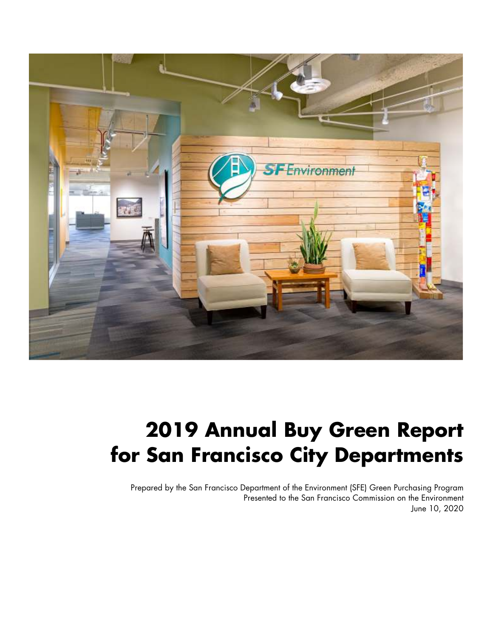

# **2019 Annual Buy Green Report for San Francisco City Departments**

Prepared by the San Francisco Department of the Environment (SFE) Green Purchasing Program Presented to the San Francisco Commission on the Environment June 10, 2020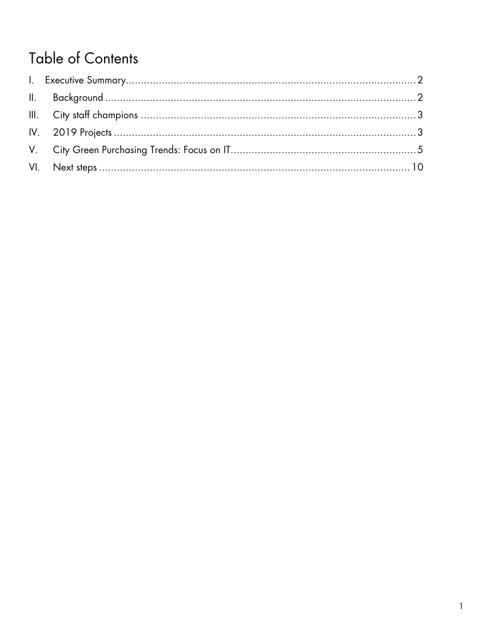# **Table of Contents**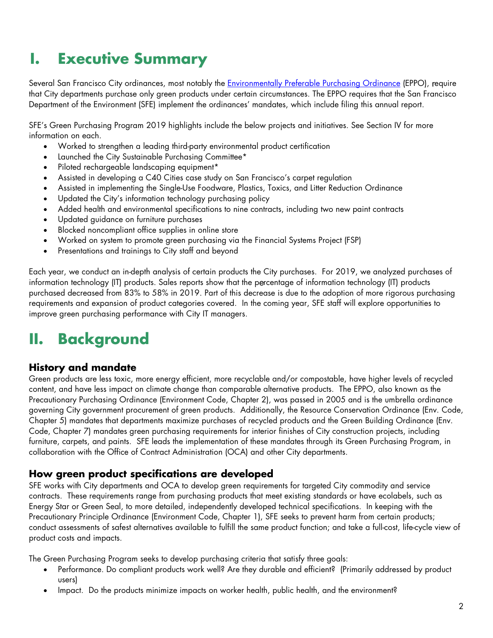# **I. Executive Summary**

Several San Francisco City ordinances, most notably the *Environmentally Preferable Purchasing Ordinance* (EPPO), require that City departments purchase only green products under certain circumstances. The EPPO requires that the San Francisco Department of the Environment (SFE) implement the ordinances' mandates, which include filing this annual report.

SFE's Green Purchasing Program 2019 highlights include the below projects and initiatives. See Section IV for more information on each.

- Worked to strengthen a leading third-party environmental product certification
- Launched the City Sustainable Purchasing Committee\*
- Piloted rechargeable landscaping equipment\*
- Assisted in developing a C40 Cities case study on San Francisco's carpet regulation
- Assisted in implementing the Single-Use Foodware, Plastics, Toxics, and Litter Reduction Ordinance
- Updated the City's information technology purchasing policy
- Added health and environmental specifications to nine contracts, including two new paint contracts
- Updated guidance on furniture purchases
- Blocked noncompliant office supplies in online store
- Worked on system to promote green purchasing via the Financial Systems Project (FSP)
- Presentations and trainings to City staff and beyond

Each year, we conduct an in-depth analysis of certain products the City purchases. For 2019, we analyzed purchases of information technology (IT) products. Sales reports show that the percentage of information technology (IT) products purchased decreased from 83% to 58% in 2019. Part of this decrease is due to the adoption of more rigorous purchasing requirements and expansion of product categories covered. In the coming year, SFE staff will explore opportunities to improve green purchasing performance with City IT managers.

# **II. Background**

#### **History and mandate**

Green products are less toxic, more energy efficient, more recyclable and/or compostable, have higher levels of recycled content, and have less impact on climate change than comparable alternative products. The EPPO, also known as the Precautionary Purchasing Ordinance (Environment Code, Chapter 2), was passed in 2005 and is the umbrella ordinance governing City government procurement of green products. Additionally, the Resource Conservation Ordinance (Env. Code, Chapter 5) mandates that departments maximize purchases of recycled products and the Green Building Ordinance (Env. Code, Chapter 7) mandates green purchasing requirements for interior finishes of City construction projects, including furniture, carpets, and paints. SFE leads the implementation of these mandates through its Green Purchasing Program, in collaboration with the Office of Contract Administration (OCA) and other City departments.

#### **How green product specifications are developed**

SFE works with City departments and OCA to develop green requirements for targeted City commodity and service contracts. These requirements range from purchasing products that meet existing standards or have ecolabels, such as Energy Star or Green Seal, to more detailed, independently developed technical specifications. In keeping with the Precautionary Principle Ordinance (Environment Code, Chapter 1), SFE seeks to prevent harm from certain products; conduct assessments of safest alternatives available to fulfill the same product function; and take a full-cost, life-cycle view of product costs and impacts.

The Green Purchasing Program seeks to develop purchasing criteria that satisfy three goals:

- Performance. Do compliant products work well? Are they durable and efficient? (Primarily addressed by product users)
- Impact. Do the products minimize impacts on worker health, public health, and the environment?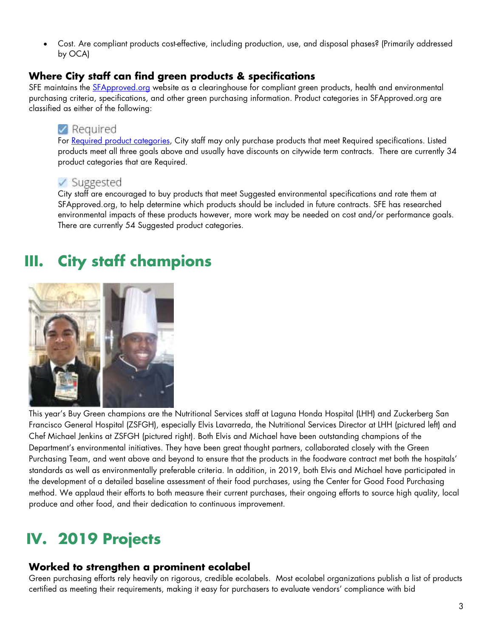Cost. Are compliant products cost-effective, including production, use, and disposal phases? (Primarily addressed by OCA)

### **Where City staff can find green products & specifications**

SFE maintains the SFApproved.org website as a clearinghouse for compliant green products, health and environmental purchasing criteria, specifications, and other green purchasing information. Product categories in SFApproved.org are classified as either of the following:

# $\vee$  Required

For Required product categories, City staff may only purchase products that meet Required specifications. Listed products meet all three goals above and usually have discounts on citywide term contracts. There are currently 34 product categories that are Required.

# ✓ Suggested

City staff are encouraged to buy products that meet Suggested environmental specifications and rate them at SFApproved.org, to help determine which products should be included in future contracts. SFE has researched environmental impacts of these products however, more work may be needed on cost and/or performance goals. There are currently 54 Suggested product categories.

# **III. City staff champions**



This year's Buy Green champions are the Nutritional Services staff at Laguna Honda Hospital (LHH) and Zuckerberg San Francisco General Hospital (ZSFGH), especially Elvis Lavarreda, the Nutritional Services Director at LHH (pictured left) and Chef Michael Jenkins at ZSFGH (pictured right). Both Elvis and Michael have been outstanding champions of the Department's environmental initiatives. They have been great thought partners, collaborated closely with the Green Purchasing Team, and went above and beyond to ensure that the products in the foodware contract met both the hospitals' standards as well as environmentally preferable criteria. In addition, in 2019, both Elvis and Michael have participated in the development of a detailed baseline assessment of their food purchases, using the Center for Good Food Purchasing method. We applaud their efforts to both measure their current purchases, their ongoing efforts to source high quality, local produce and other food, and their dedication to continuous improvement.

# **IV. 2019 Projects**

# **Worked to strengthen a prominent ecolabel**

Green purchasing efforts rely heavily on rigorous, credible ecolabels. Most ecolabel organizations publish a list of products certified as meeting their requirements, making it easy for purchasers to evaluate vendors' compliance with bid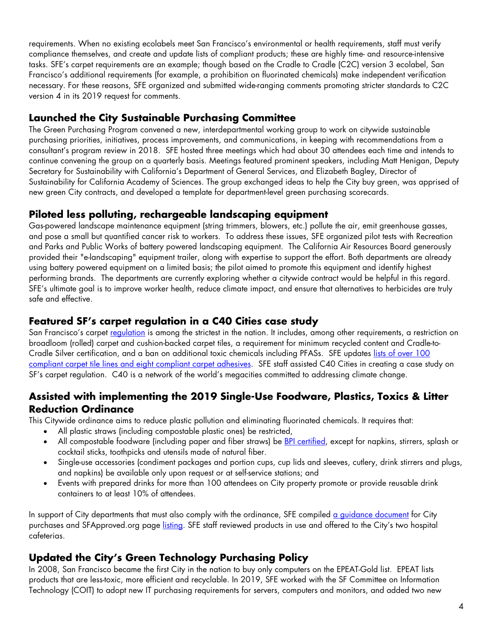requirements. When no existing ecolabels meet San Francisco's environmental or health requirements, staff must verify compliance themselves, and create and update lists of compliant products; these are highly time- and resource-intensive tasks. SFE's carpet requirements are an example; though based on the Cradle to Cradle (C2C) version 3 ecolabel, San Francisco's additional requirements (for example, a prohibition on fluorinated chemicals) make independent verification necessary. For these reasons, SFE organized and submitted wide-ranging comments promoting stricter standards to C2C version 4 in its 2019 request for comments.

# **Launched the City Sustainable Purchasing Committee**

The Green Purchasing Program convened a new, interdepartmental working group to work on citywide sustainable purchasing priorities, initiatives, process improvements, and communications, in keeping with recommendations from a consultant's program review in 2018. SFE hosted three meetings which had about 30 attendees each time and intends to continue convening the group on a quarterly basis. Meetings featured prominent speakers, including Matt Henigan, Deputy Secretary for Sustainability with California's Department of General Services, and Elizabeth Bagley, Director of Sustainability for California Academy of Sciences. The group exchanged ideas to help the City buy green, was apprised of new green City contracts, and developed a template for department-level green purchasing scorecards.

# **Piloted less polluting, rechargeable landscaping equipment**

Gas-powered landscape maintenance equipment (string trimmers, blowers, etc.) pollute the air, emit greenhouse gasses, and pose a small but quantified cancer risk to workers. To address these issues, SFE organized pilot tests with Recreation and Parks and Public Works of battery powered landscaping equipment. The California Air Resources Board generously provided their "e-landscaping" equipment trailer, along with expertise to support the effort. Both departments are already using battery powered equipment on a limited basis; the pilot aimed to promote this equipment and identify highest performing brands. The departments are currently exploring whether a citywide contract would be helpful in this regard. SFE's ultimate goal is to improve worker health, reduce climate impact, and ensure that alternatives to herbicides are truly safe and effective.

### **Featured SF's carpet regulation in a C40 Cities case study**

San Francisco's carpet regulation is among the strictest in the nation. It includes, among other requirements, a restriction on broadloom (rolled) carpet and cushion-backed carpet tiles, a requirement for minimum recycled content and Cradle-to-Cradle Silver certification, and a ban on additional toxic chemicals including PFASs. SFE updates lists of over 100 compliant carpet tile lines and eight compliant carpet adhesives. SFE staff assisted C40 Cities in creating a case study on SF's carpet regulation. C40 is a network of the world's megacities committed to addressing climate change.

### **Assisted with implementing the 2019 Single-Use Foodware, Plastics, Toxics & Litter Reduction Ordinance**

This Citywide ordinance aims to reduce plastic pollution and eliminating fluorinated chemicals. It requires that:

- All plastic straws (including compostable plastic ones) be restricted,
- All compostable foodware (including paper and fiber straws) be **BPI certified**, except for napkins, stirrers, splash or cocktail sticks, toothpicks and utensils made of natural fiber.
- Single-use accessories (condiment packages and portion cups, cup lids and sleeves, cutlery, drink stirrers and plugs, and napkins) be available only upon request or at self-service stations; and
- Events with prepared drinks for more than 100 attendees on City property promote or provide reusable drink containers to at least 10% of attendees.

In support of City departments that must also comply with the ordinance, SFE compiled a guidance document for City purchases and SFApproved.org page listing. SFE staff reviewed products in use and offered to the City's two hospital cafeterias.

# **Updated the City's Green Technology Purchasing Policy**

In 2008, San Francisco became the first City in the nation to buy only computers on the EPEAT-Gold list. EPEAT lists products that are less-toxic, more efficient and recyclable. In 2019, SFE worked with the SF Committee on Information Technology (COIT) to adopt new IT purchasing requirements for servers, computers and monitors, and added two new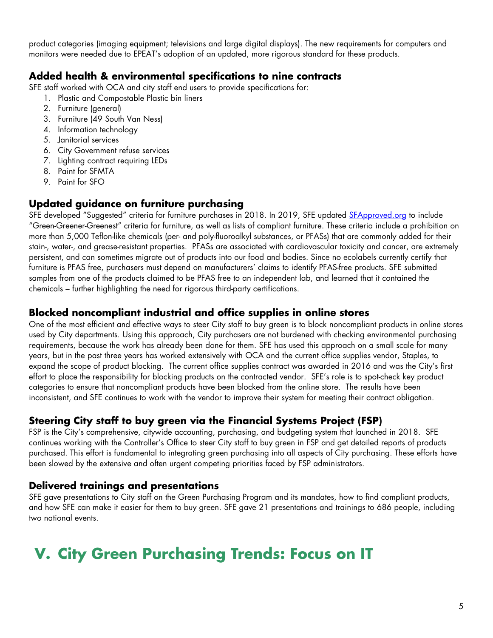product categories (imaging equipment; televisions and large digital displays). The new requirements for computers and monitors were needed due to EPEAT's adoption of an updated, more rigorous standard for these products.

### **Added health & environmental specifications to nine contracts**

SFE staff worked with OCA and city staff end users to provide specifications for:

- 1. Plastic and Compostable Plastic bin liners
- 2. Furniture (general)
- 3. Furniture (49 South Van Ness)
- 4. Information technology
- 5. Janitorial services
- 6. City Government refuse services
- 7. Lighting contract requiring LEDs
- 8. Paint for SFMTA
- 9. Paint for SFO

# **Updated guidance on furniture purchasing**

SFE developed "Suggested" criteria for furniture purchases in 2018. In 2019, SFE updated SFApproved.org to include "Green-Greener-Greenest" criteria for furniture, as well as lists of compliant furniture. These criteria include a prohibition on more than 5,000 Teflon-like chemicals (per- and poly-fluoroalkyl substances, or PFASs) that are commonly added for their stain-, water-, and grease-resistant properties. PFASs are associated with cardiovascular toxicity and cancer, are extremely persistent, and can sometimes migrate out of products into our food and bodies. Since no ecolabels currently certify that furniture is PFAS free, purchasers must depend on manufacturers' claims to identify PFAS-free products. SFE submitted samples from one of the products claimed to be PFAS free to an independent lab, and learned that it contained the chemicals – further highlighting the need for rigorous third-party certifications.

#### **Blocked noncompliant industrial and office supplies in online stores**

One of the most efficient and effective ways to steer City staff to buy green is to block noncompliant products in online stores used by City departments. Using this approach, City purchasers are not burdened with checking environmental purchasing requirements, because the work has already been done for them. SFE has used this approach on a small scale for many years, but in the past three years has worked extensively with OCA and the current office supplies vendor, Staples, to expand the scope of product blocking. The current office supplies contract was awarded in 2016 and was the City's first effort to place the responsibility for blocking products on the contracted vendor. SFE's role is to spot-check key product categories to ensure that noncompliant products have been blocked from the online store. The results have been inconsistent, and SFE continues to work with the vendor to improve their system for meeting their contract obligation.

# **Steering City staff to buy green via the Financial Systems Project (FSP)**

FSP is the City's comprehensive, citywide accounting, purchasing, and budgeting system that launched in 2018. SFE continues working with the Controller's Office to steer City staff to buy green in FSP and get detailed reports of products purchased. This effort is fundamental to integrating green purchasing into all aspects of City purchasing. These efforts have been slowed by the extensive and often urgent competing priorities faced by FSP administrators.

### **Delivered trainings and presentations**

SFE gave presentations to City staff on the Green Purchasing Program and its mandates, how to find compliant products, and how SFE can make it easier for them to buy green. SFE gave 21 presentations and trainings to 686 people, including two national events.

# **V. City Green Purchasing Trends: Focus on IT**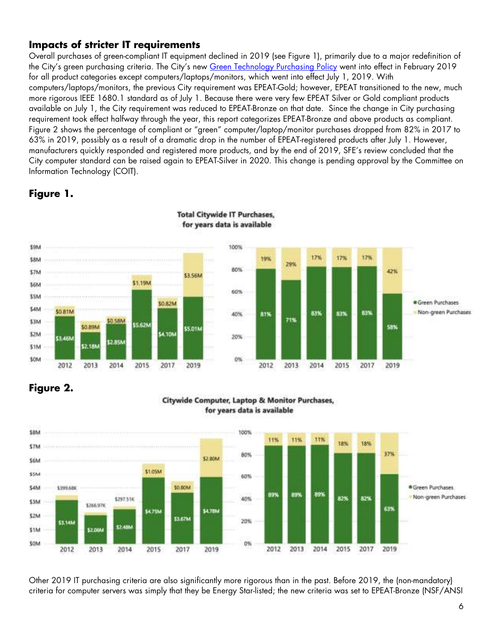# **Impacts of stricter IT requirements**

Overall purchases of green-compliant IT equipment declined in 2019 (see Figure 1), primarily due to a major redefinition of the City's green purchasing criteria. The City's new Green Technology Purchasing Policy went into effect in February 2019 for all product categories except computers/laptops/monitors, which went into effect July 1, 2019. With computers/laptops/monitors, the previous City requirement was EPEAT-Gold; however, EPEAT transitioned to the new, much more rigorous IEEE 1680.1 standard as of July 1. Because there were very few EPEAT Silver or Gold compliant products available on July 1, the City requirement was reduced to EPEAT-Bronze on that date. Since the change in City purchasing requirement took effect halfway through the year, this report categorizes EPEAT-Bronze and above products as compliant. Figure 2 shows the percentage of compliant or "green" computer/laptop/monitor purchases dropped from 82% in 2017 to 63% in 2019, possibly as a result of a dramatic drop in the number of EPEAT-registered products after July 1. However, manufacturers quickly responded and registered more products, and by the end of 2019, SFE's review concluded that the City computer standard can be raised again to EPEAT-Silver in 2020. This change is pending approval by the Committee on Information Technology (COIT).

# **Figure 1.**



**Total Citywide IT Purchases.** for years data is available

# **Figure 2.**

#### Citywide Computer, Laptop & Monitor Purchases, for years data is available



Other 2019 IT purchasing criteria are also significantly more rigorous than in the past. Before 2019, the (non-mandatory) criteria for computer servers was simply that they be Energy Star-listed; the new criteria was set to EPEAT-Bronze (NSF/ANSI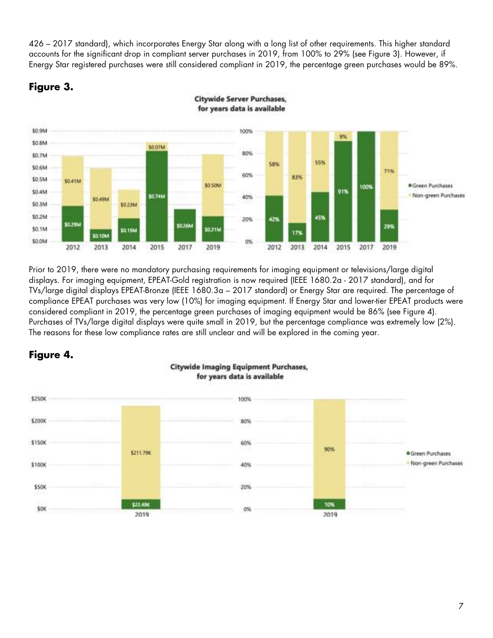426 – 2017 standard), which incorporates Energy Star along with a long list of other requirements. This higher standard accounts for the significant drop in compliant server purchases in 2019, from 100% to 29% (see Figure 3). However, if Energy Star registered purchases were still considered compliant in 2019, the percentage green purchases would be 89%.





**Citywide Server Purchases,** for years data is available

Prior to 2019, there were no mandatory purchasing requirements for imaging equipment or televisions/large digital displays. For imaging equipment, EPEAT-Gold registration is now required (IEEE 1680.2a - 2017 standard), and for TVs/large digital displays EPEAT-Bronze (IEEE 1680.3a – 2017 standard) or Energy Star are required. The percentage of compliance EPEAT purchases was very low (10%) for imaging equipment. If Energy Star and lower-tier EPEAT products were considered compliant in 2019, the percentage green purchases of imaging equipment would be 86% (see Figure 4). Purchases of TVs/large digital displays were quite small in 2019, but the percentage compliance was extremely low (2%). The reasons for these low compliance rates are still unclear and will be explored in the coming year.

# **Figure 4.**



#### **Citywide Imaging Equipment Purchases,** for years data is available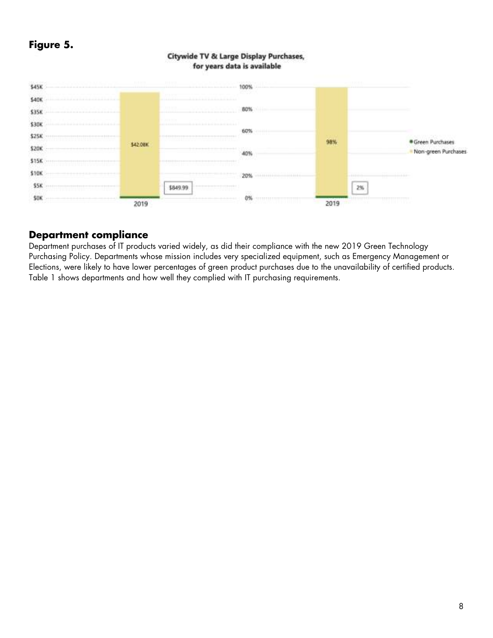# **Figure 5.**



#### Citywide TV & Large Display Purchases, for years data is available

### **Department compliance**

Department purchases of IT products varied widely, as did their compliance with the new 2019 Green Technology Purchasing Policy. Departments whose mission includes very specialized equipment, such as Emergency Management or Elections, were likely to have lower percentages of green product purchases due to the unavailability of certified products. Table 1 shows departments and how well they complied with IT purchasing requirements.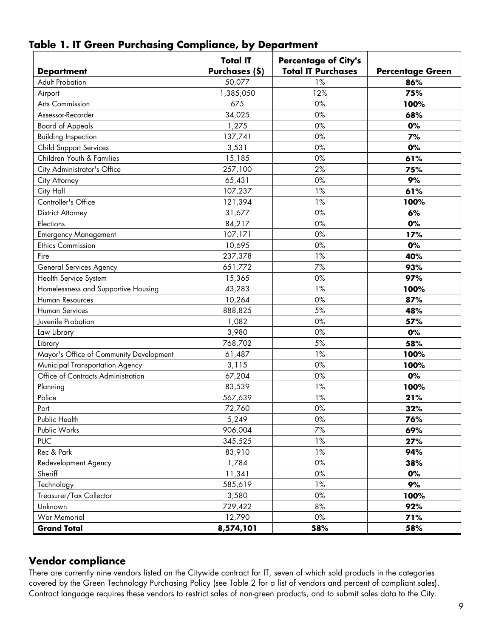| <b>Department</b>                       | <b>Total IT</b><br>Purchases (\$) | <b>Percentage of City's</b><br><b>Total IT Purchases</b> | <b>Percentage Green</b> |
|-----------------------------------------|-----------------------------------|----------------------------------------------------------|-------------------------|
| <b>Adult Probation</b>                  | 50,077                            | 1%                                                       | 86%                     |
| Airport                                 | 1,385,050                         | 12%                                                      | 75%                     |
| Arts Commission                         | 675                               | 0%                                                       | 100%                    |
| Assessor-Recorder                       | 34,025                            | $0\%$                                                    | 68%                     |
| <b>Board of Appeals</b>                 | 1,275                             | $0\%$                                                    | 0%                      |
| <b>Building Inspection</b>              | 137,741                           | $0\%$                                                    | 7%                      |
| <b>Child Support Services</b>           | 3,531                             | $0\%$                                                    | 0%                      |
| Children Youth & Families               | 15,185                            | $0\%$                                                    | 61%                     |
| City Administrator's Office             | 257,100                           | 2%                                                       | 75%                     |
| City Attorney                           | 65,431                            | 0%                                                       | 9%                      |
| City Hall                               | 107,237                           | 1%                                                       | 61%                     |
| Controller's Office                     | 121,394                           | 1%                                                       | 100%                    |
| <b>District Attorney</b>                | 31,677                            | $0\%$                                                    | 6%                      |
| Elections                               | 84,217                            | 0%                                                       | 0%                      |
| <b>Emergency Management</b>             | 107,171                           | $0\%$                                                    | 17%                     |
| <b>Ethics Commission</b>                | 10,695                            | $0\%$                                                    | 0%                      |
| Fire                                    | 237,378                           | 1%                                                       | 40%                     |
| General Services Agency                 | 651,772                           | 7%                                                       | 93%                     |
| Health Service System                   | 15,365                            | 0%                                                       | 97%                     |
| Homelessness and Supportive Housing     | 43,283                            | 1%                                                       | 100%                    |
| Human Resources                         | 10,264                            | $0\%$                                                    | 87%                     |
| Human Services                          | 888,825                           | 5%                                                       | 48%                     |
| Juvenile Probation                      | 1,082                             | $0\%$                                                    | 57%                     |
| Law Library                             | 3,980                             | $0\%$                                                    | 0%                      |
| Library                                 | 768,702                           | 5%                                                       | 58%                     |
| Mayor's Office of Community Development | 61,487                            | 1%                                                       | 100%                    |
| Municipal Transportation Agency         | 3,115                             | 0%                                                       | 100%                    |
| Office of Contracts Administration      | 67,204                            | $0\%$                                                    | 0%                      |
| Planning                                | 83,539                            | 1%                                                       | 100%                    |
| Police                                  | 567,639                           | 1%                                                       | 21%                     |
| Port                                    | 72,760                            | $0\%$                                                    | 32%                     |
| Public Health                           | 5,249                             | 0%                                                       | 76%                     |
| Public Works                            | 906,004                           | 7%                                                       | 69%                     |
| <b>PUC</b>                              | 345,525                           | 1%                                                       | 27%                     |
| Rec & Park                              | 83,910                            | 1%                                                       | 94%                     |
| Redevelopment Agency                    | 1,784                             | $0\%$                                                    | 38%                     |
| Sheriff                                 | 11,341                            | $0\%$                                                    | 0%                      |
| Technology                              | 585,619                           | 1%                                                       | 9%                      |
| Treasurer/Tax Collector                 | 3,580                             | $0\%$                                                    | 100%                    |
| Unknown                                 | 729,422                           | 8%                                                       | 92%                     |
| <b>War Memorial</b>                     | 12,790                            | $0\%$                                                    | 71%                     |
| <b>Grand Total</b>                      | 8,574,101                         | 58%                                                      | 58%                     |

# **Table 1. IT Green Purchasing Compliance, by Department**

# **Vendor compliance**

There are currently nine vendors listed on the Citywide contract for IT, seven of which sold products in the categories covered by the Green Technology Purchasing Policy (see Table 2 for a list of vendors and percent of compliant sales). Contract language requires these vendors to restrict sales of non-green products, and to submit sales data to the City.